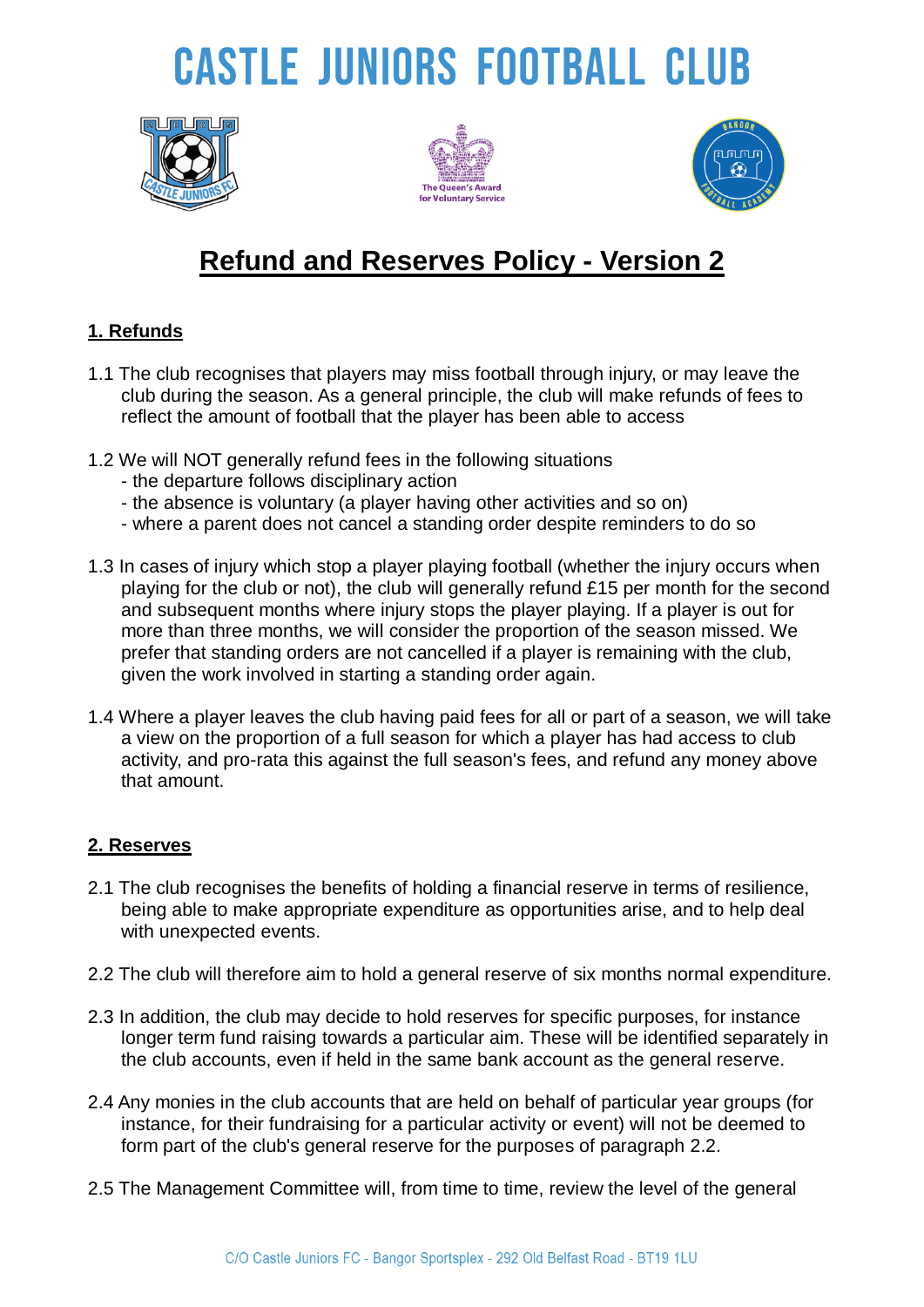# **CASTLE JUNIORS FOOTBALL CLUB**







### **Refund and Reserves Policy - Version 2**

#### **1. Refunds**

- 1.1 The club recognises that players may miss football through injury, or may leave the club during the season. As a general principle, the club will make refunds of fees to reflect the amount of football that the player has been able to access
- 1.2 We will NOT generally refund fees in the following situations
	- the departure follows disciplinary action
	- the absence is voluntary (a player having other activities and so on)
	- where a parent does not cancel a standing order despite reminders to do so
- 1.3 In cases of injury which stop a player playing football (whether the injury occurs when playing for the club or not), the club will generally refund £15 per month for the second and subsequent months where injury stops the player playing. If a player is out for more than three months, we will consider the proportion of the season missed. We prefer that standing orders are not cancelled if a player is remaining with the club, given the work involved in starting a standing order again.
- 1.4 Where a player leaves the club having paid fees for all or part of a season, we will take a view on the proportion of a full season for which a player has had access to club activity, and pro-rata this against the full season's fees, and refund any money above that amount.

#### **2. Reserves**

- 2.1 The club recognises the benefits of holding a financial reserve in terms of resilience, being able to make appropriate expenditure as opportunities arise, and to help deal with unexpected events.
- 2.2 The club will therefore aim to hold a general reserve of six months normal expenditure.
- 2.3 In addition, the club may decide to hold reserves for specific purposes, for instance longer term fund raising towards a particular aim. These will be identified separately in the club accounts, even if held in the same bank account as the general reserve.
- 2.4 Any monies in the club accounts that are held on behalf of particular year groups (for instance, for their fundraising for a particular activity or event) will not be deemed to form part of the club's general reserve for the purposes of paragraph 2.2.
- 2.5 The Management Committee will, from time to time, review the level of the general